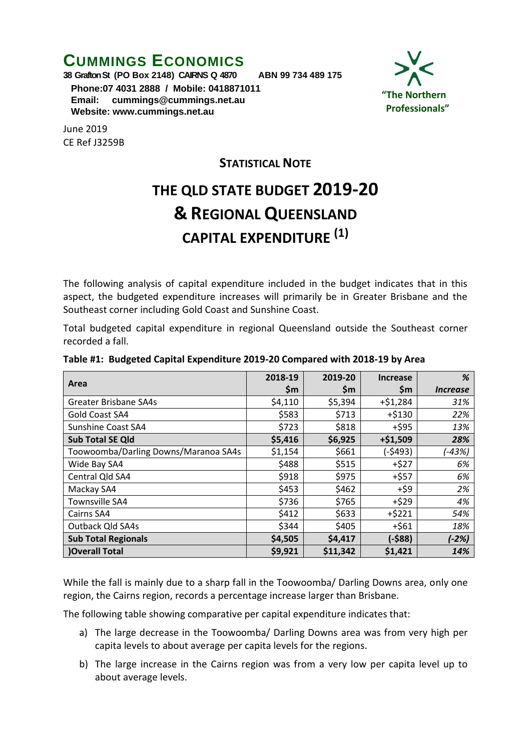## **CUMMINGS ECONOMICS**

**38 Grafton St (PO Box 2148) CAIRNS Q 4870 ABN 99 734 489 175 Phone:07 4031 2888 / Mobile: 0418871011 Email: [cummings@cummings.net.au](mailto:cummings@cummings.net.au) Website: www.cummings.net.au**



June 2019 CE Ref J3259B

**STATISTICAL NOTE**

## **THE QLD STATE BUDGET 2019-20 & REGIONAL QUEENSLAND CAPITAL EXPENDITURE (1)**

The following analysis of capital expenditure included in the budget indicates that in this aspect, the budgeted expenditure increases will primarily be in Greater Brisbane and the Southeast corner including Gold Coast and Sunshine Coast.

Total budgeted capital expenditure in regional Queensland outside the Southeast corner recorded a fall.

| Area                                 | 2018-19 | 2019-20  | <b>Increase</b> | %                             |
|--------------------------------------|---------|----------|-----------------|-------------------------------|
|                                      | \$m     | \$m      | $\mathsf{Sm}$   | <i><u><b>Increase</b></u></i> |
| Greater Brisbane SA4s                | \$4,110 | \$5,394  | $+ $1,284$      | 31%                           |
| Gold Coast SA4                       | \$583   | \$713    | $+ $130$        | 22%                           |
| Sunshine Coast SA4                   | \$723   | \$818    | $+$ \$95        | 13%                           |
| <b>Sub Total SE Qld</b>              | \$5,416 | \$6,925  | $+ $1,509$      | 28%                           |
| Toowoomba/Darling Downs/Maranoa SA4s | \$1,154 | \$661    | (-\$493)        | (-43%)                        |
| Wide Bay SA4                         | \$488   | \$515    | $+527$          | 6%                            |
| Central Qld SA4                      | \$918   | \$975    | $+ $57$         | 6%                            |
| Mackay SA4                           | \$453   | \$462    | +\$9            | 2%                            |
| Townsville SA4                       | \$736   | \$765    | $+529$          | 4%                            |
| Cairns SA4                           | \$412   | \$633    | $+ $221$        | 54%                           |
| Outback Qld SA4s                     | \$344   | \$405    | $+ $61$         | 18%                           |
| <b>Sub Total Regionals</b>           | \$4,505 | \$4,417  | $(-$88)$        | (-2%)                         |
| <b>Overall Total</b>                 | \$9,921 | \$11,342 | \$1,421         | 14%                           |

**Table #1: Budgeted Capital Expenditure 2019-20 Compared with 2018-19 by Area**

While the fall is mainly due to a sharp fall in the Toowoomba/ Darling Downs area, only one region, the Cairns region, records a percentage increase larger than Brisbane.

The following table showing comparative per capital expenditure indicates that:

- a) The large decrease in the Toowoomba/ Darling Downs area was from very high per capita levels to about average per capita levels for the regions.
- b) The large increase in the Cairns region was from a very low per capita level up to about average levels.